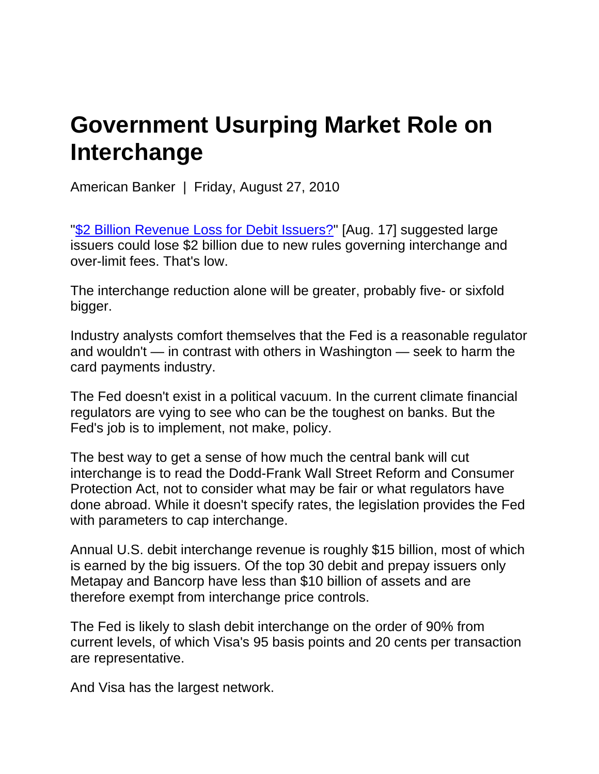## **Government Usurping Market Role on Interchange**

American Banker | Friday, August 27, 2010

"\$2 Billion Revenue Loss for Debit Issuers?" [Aug. 17] suggested large issuers could lose \$2 billion due to new rules governing interchange and over-limit fees. That's low.

The interchange reduction alone will be greater, probably five- or sixfold bigger.

Industry analysts comfort themselves that the Fed is a reasonable regulator and wouldn't — in contrast with others in Washington — seek to harm the card payments industry.

The Fed doesn't exist in a political vacuum. In the current climate financial regulators are vying to see who can be the toughest on banks. But the Fed's job is to implement, not make, policy.

The best way to get a sense of how much the central bank will cut interchange is to read the Dodd-Frank Wall Street Reform and Consumer Protection Act, not to consider what may be fair or what regulators have done abroad. While it doesn't specify rates, the legislation provides the Fed with parameters to cap interchange.

Annual U.S. debit interchange revenue is roughly \$15 billion, most of which is earned by the big issuers. Of the top 30 debit and prepay issuers only Metapay and Bancorp have less than \$10 billion of assets and are therefore exempt from interchange price controls.

The Fed is likely to slash debit interchange on the order of 90% from current levels, of which Visa's 95 basis points and 20 cents per transaction are representative.

And Visa has the largest network.